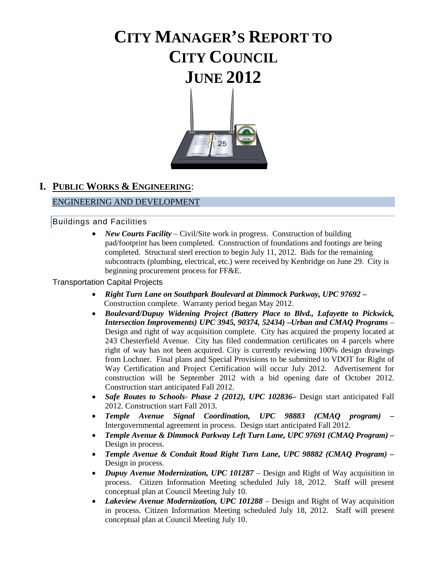# **CITY MANAGER'S REPORT TO CITY COUNCIL JUNE 2012**



# **I. PUBLIC WORKS & ENGINEERING**:

# ENGINEERING AND DEVELOPMENT

# Buildings and Facilities

• *New Courts Facility* – Civil/Site work in progress. Construction of building pad/footprint has been completed. Construction of foundations and footings are being completed. Structural steel erection to begin July 11, 2012. Bids for the remaining subcontracts (plumbing, electrical, etc.) were received by Kenbridge on June 29. City is beginning procurement process for FF&E.

# Transportation Capital Projects

- *Right Turn Lane on Southpark Boulevard at Dimmock Parkway, UPC 97692*  Construction complete. Warranty period began May 2012.
- *Boulevard/Dupuy Widening Project (Battery Place to Blvd., Lafayette to Pickwick, Intersection Improvements) UPC 3945, 90374, 52434) –Urban and CMAQ Programs* – Design and right of way acquisition complete. City has acquired the property located at 243 Chesterfield Avenue. City has filed condemnation certificates on 4 parcels where right of way has not been acquired. City is currently reviewing 100% design drawings from Lochner. Final plans and Special Provisions to be submitted to VDOT for Right of Way Certification and Project Certification will occur July 2012. Advertisement for construction will be September 2012 with a bid opening date of October 2012. Construction start anticipated Fall 2012.
- *Safe Routes to Schools- Phase 2 (2012), UPC 102836***–** Design start anticipated Fall 2012. Construction start Fall 2013.
- *Temple Avenue Signal Coordination, UPC 98883 (CMAQ program) –* Intergovernmental agreement in process. Design start anticipated Fall 2012.
- *Temple Avenue & Dimmock Parkway Left Turn Lane, UPC 97691 (CMAQ Program) –* Design in process.
- *Temple Avenue & Conduit Road Right Turn Lane, UPC 98882 (CMAQ Program) –* Design in process.
- *Dupuy Avenue Modernization, UPC 101287*  Design and Right of Way acquisition in process. Citizen Information Meeting scheduled July 18, 2012. Staff will present conceptual plan at Council Meeting July 10.
- *Lakeview Avenue Modernization, UPC 101288* Design and Right of Way acquisition in process. Citizen Information Meeting scheduled July 18, 2012. Staff will present conceptual plan at Council Meeting July 10.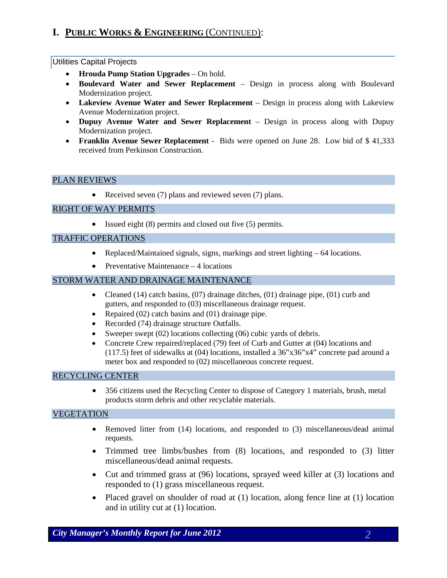# **I. PUBLIC WORKS & ENGINEERING** (CONTINUED):

#### Utilities Capital Projects

- **Hrouda Pump Station Upgrades**  On hold.
- **Boulevard Water and Sewer Replacement**  Design in process along with Boulevard Modernization project.
- **Lakeview Avenue Water and Sewer Replacement**  Design in process along with Lakeview Avenue Modernization project.
- **Dupuy Avenue Water and Sewer Replacement**  Design in process along with Dupuy Modernization project.
- **Franklin Avenue Sewer Replacement**  Bids were opened on June 28. Low bid of \$ 41,333 received from Perkinson Construction.

#### PLAN REVIEWS

• Received seven (7) plans and reviewed seven (7) plans.

### RIGHT OF WAY PERMITS

• Issued eight (8) permits and closed out five (5) permits.

#### TRAFFIC OPERATIONS

- Replaced/Maintained signals, signs, markings and street lighting 64 locations.
- Preventative Maintenance 4 locations

#### STORM WATER AND DRAINAGE MAINTENANCE

- Cleaned (14) catch basins,  $(07)$  drainage ditches,  $(01)$  drainage pipe,  $(01)$  curb and gutters, and responded to (03) miscellaneous drainage request.
- Repaired (02) catch basins and (01) drainage pipe.
- Recorded (74) drainage structure Outfalls.
- Sweeper swept (02) locations collecting (06) cubic yards of debris.
- Concrete Crew repaired/replaced (79) feet of Curb and Gutter at (04) locations and (117.5) feet of sidewalks at (04) locations, installed a 36"x36"x4" concrete pad around a meter box and responded to (02) miscellaneous concrete request.

#### RECYCLING CENTER

• 356 citizens used the Recycling Center to dispose of Category 1 materials, brush, metal products storm debris and other recyclable materials.

### VEGETATION

- Removed litter from (14) locations, and responded to (3) miscellaneous/dead animal requests.
- Trimmed tree limbs/bushes from (8) locations, and responded to (3) litter miscellaneous/dead animal requests.
- Cut and trimmed grass at (96) locations, sprayed weed killer at (3) locations and responded to (1) grass miscellaneous request.
- Placed gravel on shoulder of road at (1) location, along fence line at (1) location and in utility cut at (1) location.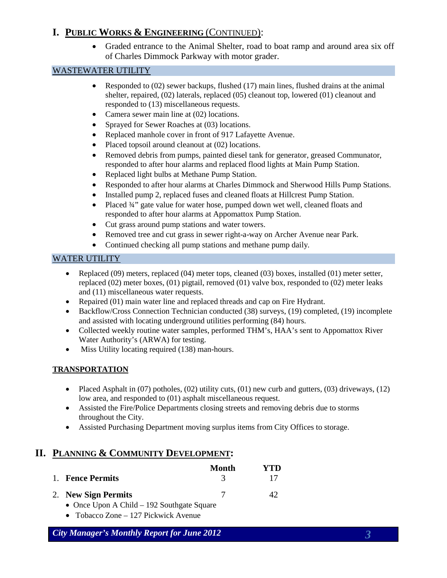# **I. PUBLIC WORKS & ENGINEERING** (CONTINUED):

• Graded entrance to the Animal Shelter, road to boat ramp and around area six off of Charles Dimmock Parkway with motor grader.

# WASTEWATER UTILITY

- Responded to  $(02)$  sewer backups, flushed  $(17)$  main lines, flushed drains at the animal shelter, repaired, (02) laterals, replaced (05) cleanout top, lowered (01) cleanout and responded to (13) miscellaneous requests.
- Camera sewer main line at (02) locations.
- Sprayed for Sewer Roaches at (03) locations.
- Replaced manhole cover in front of 917 Lafayette Avenue.
- Placed topsoil around cleanout at  $(02)$  locations.
- Removed debris from pumps, painted diesel tank for generator, greased Communator, responded to after hour alarms and replaced flood lights at Main Pump Station.
- Replaced light bulbs at Methane Pump Station.
- Responded to after hour alarms at Charles Dimmock and Sherwood Hills Pump Stations.
- Installed pump 2, replaced fuses and cleaned floats at Hillcrest Pump Station.
- Placed  $\frac{3}{4}$ " gate value for water hose, pumped down wet well, cleaned floats and responded to after hour alarms at Appomattox Pump Station.
- Cut grass around pump stations and water towers.
- Removed tree and cut grass in sewer right-a-way on Archer Avenue near Park.
- Continued checking all pump stations and methane pump daily*.*

# WATER UTILITY

- Replaced (09) meters, replaced (04) meter tops, cleaned (03) boxes, installed (01) meter setter, replaced  $(02)$  meter boxes,  $(01)$  pigtail, removed  $(01)$  valve box, responded to  $(02)$  meter leaks and (11) miscellaneous water requests.
- Repaired (01) main water line and replaced threads and cap on Fire Hydrant.
- Backflow/Cross Connection Technician conducted (38) surveys, (19) completed, (19) incomplete and assisted with locating underground utilities performing (84) hours.
- Collected weekly routine water samples, performed THM's, HAA's sent to Appomattox River Water Authority's (ARWA) for testing.
- Miss Utility locating required (138) man-hours.

# **TRANSPORTATION**

- Placed Asphalt in  $(07)$  potholes,  $(02)$  utility cuts,  $(01)$  new curb and gutters,  $(03)$  driveways,  $(12)$ low area, and responded to (01) asphalt miscellaneous request.
- Assisted the Fire/Police Departments closing streets and removing debris due to storms throughout the City.
- Assisted Purchasing Department moving surplus items from City Offices to storage.

# **II. PLANNING & COMMUNITY DEVELOPMENT:**

|                     | Month | YTD |
|---------------------|-------|-----|
| 1. Fence Permits    |       | 17  |
| 2. New Sign Permits |       | 42  |

- Once Upon A Child 192 Southgate Square
- Tobacco Zone 127 Pickwick Avenue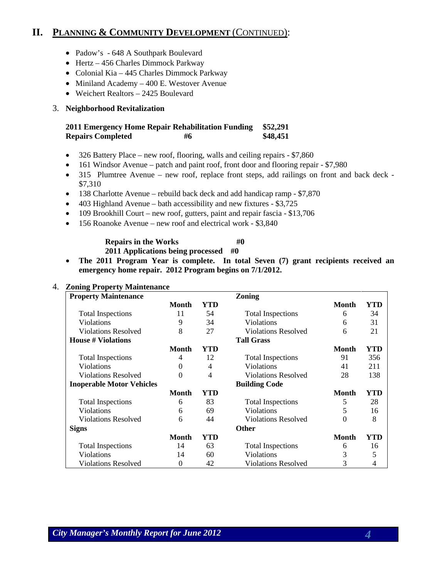# **II. PLANNING & COMMUNITY DEVELOPMENT** (CONTINUED):

- Padow's 648 A Southpark Boulevard
- Hertz 456 Charles Dimmock Parkway
- Colonial Kia 445 Charles Dimmock Parkway
- Miniland Academy 400 E. Westover Avenue
- Weichert Realtors 2425 Boulevard

# 3. **Neighborhood Revitalization**

#### **2011 Emergency Home Repair Rehabilitation Funding \$52,291 Repairs Completed #6 \$48,451**

- 326 Battery Place new roof, flooring, walls and ceiling repairs \$7,860
- 161 Windsor Avenue patch and paint roof, front door and flooring repair \$7,980
- 315 Plumtree Avenue new roof, replace front steps, add railings on front and back deck \$7,310
- 138 Charlotte Avenue rebuild back deck and add handicap ramp \$7,870
- 403 Highland Avenue bath accessibility and new fixtures \$3,725
- 109 Brookhill Court new roof, gutters, paint and repair fascia \$13,706
- 156 Roanoke Avenue new roof and electrical work \$3,840

# **Repairs in the Works #0**

**2011 Applications being processed #0**

• **The 2011 Program Year is complete. In total Seven (7) grant recipients received an emergency home repair. 2012 Program begins on 7/1/2012.**

#### 4. **Zoning Property Maintenance**

| o<br><b>Property Maintenance</b> |          |     | <b>Zoning</b>              |              |     |
|----------------------------------|----------|-----|----------------------------|--------------|-----|
|                                  | Month    | YTD |                            | <b>Month</b> | YTD |
| <b>Total Inspections</b>         | 11       | 54  | <b>Total Inspections</b>   | 6            | 34  |
| <b>Violations</b>                | 9        | 34  | <b>Violations</b>          | 6            | 31  |
| <b>Violations Resolved</b>       | 8        | 27  | <b>Violations Resolved</b> | 6            | 21  |
| <b>House # Violations</b>        |          |     | <b>Tall Grass</b>          |              |     |
|                                  | Month    | YTD |                            | Month        | YTD |
| <b>Total Inspections</b>         | 4        | 12  | <b>Total Inspections</b>   | 91           | 356 |
| <b>Violations</b>                | $\Omega$ | 4   | <b>Violations</b>          | 41           | 211 |
| <b>Violations Resolved</b>       | $\Omega$ | 4   | <b>Violations Resolved</b> | 28           | 138 |
| <b>Inoperable Motor Vehicles</b> |          |     | <b>Building Code</b>       |              |     |
|                                  | Month    | YTD |                            | <b>Month</b> | YTD |
| <b>Total Inspections</b>         | 6        | 83  | <b>Total Inspections</b>   | 5            | 28  |
| Violations                       | 6        | 69  | <b>Violations</b>          | 5            | 16  |
| Violations Resolved              | 6        | 44  | <b>Violations Resolved</b> | $\Omega$     | 8   |
| <b>Signs</b>                     |          |     | <b>Other</b>               |              |     |
|                                  | Month    | YTD |                            | Month        | YTD |
| <b>Total Inspections</b>         | 14       | 63  | <b>Total Inspections</b>   | 6            | 16  |
| <b>Violations</b>                | 14       | 60  | Violations                 | 3            | 5   |
| <b>Violations Resolved</b>       | $\Omega$ | 42  | <b>Violations Resolved</b> | 3            | 4   |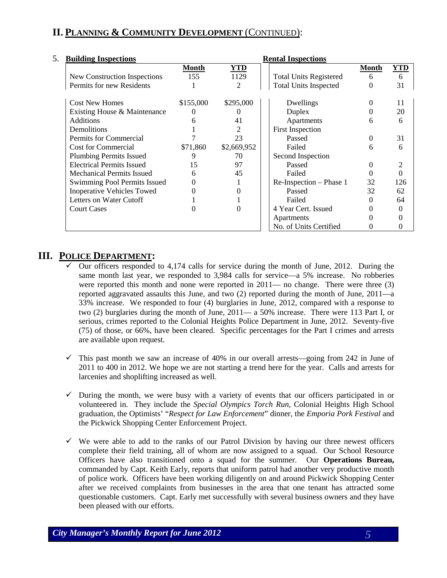# **II. PLANNING & COMMUNITY DEVELOPMENT** (CONTINUED):

| 5.<br><b>Building Inspections</b> |           |             | <b>Rental Inspections</b>     |              |            |
|-----------------------------------|-----------|-------------|-------------------------------|--------------|------------|
|                                   | Month     | <b>YTD</b>  |                               | <b>Month</b> | <b>YTD</b> |
| New Construction Inspections      | 155       | 1129        | <b>Total Units Registered</b> | 6            | 6          |
| Permits for new Residents         |           | 2           | <b>Total Units Inspected</b>  | 0            | 31         |
| <b>Cost New Homes</b>             | \$155,000 | \$295,000   | Dwellings                     | 0            | 11         |
| Existing House & Maintenance      |           | $\theta$    | Duplex                        | 0            | 20         |
| <b>Additions</b>                  |           | 41          | Apartments                    | 6            | 6          |
| Demolitions                       |           | 2           | <b>First Inspection</b>       |              |            |
| Permits for Commercial            |           | 23          | Passed                        | 0            | 31         |
| <b>Cost for Commercial</b>        | \$71,860  | \$2,669,952 | Failed                        | 6            | 6          |
| <b>Plumbing Permits Issued</b>    | 9         | 70          | Second Inspection             |              |            |
| <b>Electrical Permits Issued</b>  | 15        | 97          | Passed                        | 0            |            |
| <b>Mechanical Permits Issued</b>  | 6         | 45          | Failed                        |              |            |
| Swimming Pool Permits Issued      | 0         |             | Re-Inspection – Phase 1       | 32           | 126        |
| <b>Inoperative Vehicles Towed</b> |           |             | Passed                        | 32           | 62         |
| Letters on Water Cutoff           |           |             | Failed                        | 0            | 64         |
| <b>Court Cases</b>                |           |             | 4 Year Cert. Issued           | 0            |            |
|                                   |           |             | Apartments                    |              |            |
|                                   |           |             | No. of Units Certified        | 0            |            |

# **III. POLICE DEPARTMENT:**

- Our officers responded to 4,174 calls for service during the month of June, 2012. During the same month last year, we responded to 3,984 calls for service—a 5% increase. No robberies were reported this month and none were reported in 2011— no change. There were three (3) reported aggravated assaults this June, and two (2) reported during the month of June, 2011—a 33% increase. We responded to four (4) burglaries in June, 2012, compared with a response to two (2) burglaries during the month of June, 2011— a 50% increase. There were 113 Part I, or serious, crimes reported to the Colonial Heights Police Department in June, 2012. Seventy-five (75) of those, or 66%, have been cleared. Specific percentages for the Part I crimes and arrests are available upon request.
- $\checkmark$  This past month we saw an increase of 40% in our overall arrests—going from 242 in June of 2011 to 400 in 2012. We hope we are not starting a trend here for the year. Calls and arrests for larcenies and shoplifting increased as well.
- $\checkmark$  During the month, we were busy with a variety of events that our officers participated in or volunteered in. They include the *Special Olympics Torch Run*, Colonial Heights High School graduation, the Optimists' "*Respect for Law Enforcement*" dinner, the *Emporia Pork Festival* and the Pickwick Shopping Center Enforcement Project.
- $\checkmark$  We were able to add to the ranks of our Patrol Division by having our three newest officers complete their field training, all of whom are now assigned to a squad. Our School Resource Officers have also transitioned onto a squad for the summer. Our **Operations Bureau,**  commanded by Capt. Keith Early, reports that uniform patrol had another very productive month of police work. Officers have been working diligently on and around Pickwick Shopping Center after we received complaints from businesses in the area that one tenant has attracted some questionable customers. Capt. Early met successfully with several business owners and they have been pleased with our efforts.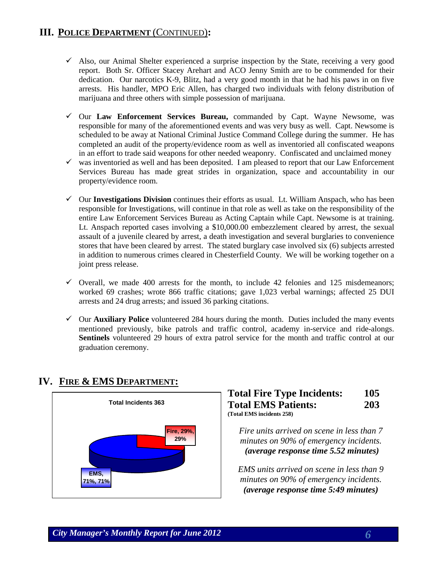# **III. POLICE DEPARTMENT** (CONTINUED)**:**

- $\checkmark$  Also, our Animal Shelter experienced a surprise inspection by the State, receiving a very good report. Both Sr. Officer Stacey Arehart and ACO Jenny Smith are to be commended for their dedication. Our narcotics K-9, Blitz, had a very good month in that he had his paws in on five arrests. His handler, MPO Eric Allen, has charged two individuals with felony distribution of marijuana and three others with simple possession of marijuana.
- Our **Law Enforcement Services Bureau,** commanded by Capt. Wayne Newsome, was responsible for many of the aforementioned events and was very busy as well. Capt. Newsome is scheduled to be away at National Criminal Justice Command College during the summer. He has completed an audit of the property/evidence room as well as inventoried all confiscated weapons in an effort to trade said weapons for other needed weaponry. Confiscated and unclaimed money
- $\checkmark$  was inventoried as well and has been deposited. I am pleased to report that our Law Enforcement Services Bureau has made great strides in organization, space and accountability in our property/evidence room.
- $\checkmark$  Our **Investigations Division** continues their efforts as usual. Lt. William Anspach, who has been responsible for Investigations, will continue in that role as well as take on the responsibility of the entire Law Enforcement Services Bureau as Acting Captain while Capt. Newsome is at training. Lt. Anspach reported cases involving a \$10,000.00 embezzlement cleared by arrest, the sexual assault of a juvenile cleared by arrest, a death investigation and several burglaries to convenience stores that have been cleared by arrest. The stated burglary case involved six (6) subjects arrested in addition to numerous crimes cleared in Chesterfield County. We will be working together on a joint press release.
- $\checkmark$  Overall, we made 400 arrests for the month, to include 42 felonies and 125 misdemeanors; worked 69 crashes; wrote 866 traffic citations; gave 1,023 verbal warnings; affected 25 DUI arrests and 24 drug arrests; and issued 36 parking citations.
- $\checkmark$  Our **Auxiliary Police** volunteered 284 hours during the month. Duties included the many events mentioned previously, bike patrols and traffic control, academy in-service and ride-alongs. **Sentinels** volunteered 29 hours of extra patrol service for the month and traffic control at our graduation ceremony.

# **Total Incidents 363 EMS, 71%, 71% Fire, 29%, 29%**

# **IV. FIRE & EMS DEPARTMENT:**

# **Total Fire Type Incidents: 105 Total EMS Patients: 203 (Total EMS incidents 258)**

*Fire units arrived on scene in less than 7 minutes on 90% of emergency incidents. <sup>U</sup>(average response time 5.52 minutes)* 

*EMS units arrived on scene in less than 9 minutes on 90% of emergency incidents. <sup>U</sup>(average response time 5:49 minutes)*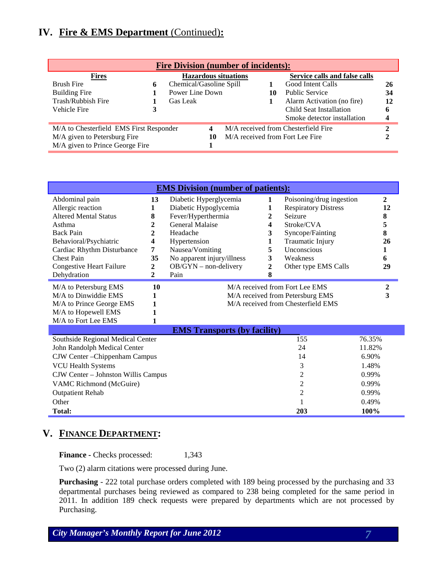# **IV. Fire & EMS Department** (Continued)**:**

| <b>Fire Division (number of incidents):</b> |   |                         |   |                             |                                 |                                      |    |  |
|---------------------------------------------|---|-------------------------|---|-----------------------------|---------------------------------|--------------------------------------|----|--|
| <u>Fires</u>                                |   |                         |   | <b>Hazardous situations</b> |                                 | <b>Service calls and false calls</b> |    |  |
| <b>Brush Fire</b>                           | 6 | Chemical/Gasoline Spill |   |                             |                                 | Good Intent Calls                    | 26 |  |
| <b>Building Fire</b>                        |   | Power Line Down         |   |                             | 10                              | <b>Public Service</b>                | 34 |  |
| Trash/Rubbish Fire                          |   | Gas Leak                |   |                             |                                 | Alarm Activation (no fire)           | 12 |  |
| Vehicle Fire                                | 3 |                         |   |                             |                                 | Child Seat Installation              | 6  |  |
|                                             |   |                         |   |                             |                                 | Smoke detector installation          | 4  |  |
| M/A to Chesterfield EMS First Responder     |   |                         | 4 |                             |                                 | M/A received from Chesterfield Fire  |    |  |
| M/A given to Petersburg Fire                |   | 10                      |   |                             | M/A received from Fort Lee Fire |                                      |    |  |
| M/A given to Prince George Fire             |   |                         |   |                             |                                 |                                      |    |  |

| <b>EMS Division (number of patients):</b> |                |                                     |              |                                    |              |  |  |
|-------------------------------------------|----------------|-------------------------------------|--------------|------------------------------------|--------------|--|--|
| Abdominal pain                            | 13             | Diabetic Hyperglycemia              | 1            | Poisoning/drug ingestion           | $\mathbf{2}$ |  |  |
| Allergic reaction                         | 1              | Diabetic Hypoglycemia               | 1            | <b>Respiratory Distress</b>        | 12           |  |  |
| <b>Altered Mental Status</b>              | 8              | Fever/Hyperthermia                  | $\mathbf{2}$ | Seizure                            | 8            |  |  |
| Asthma                                    | 2              | <b>General Malaise</b>              | 4            | Stroke/CVA                         | 5            |  |  |
| <b>Back Pain</b>                          | 2              | Headache                            | 3            | Syncope/Fainting                   | 8            |  |  |
| Behavioral/Psychiatric                    | 4              | Hypertension                        | 1            | Traumatic Injury                   | 26           |  |  |
| Cardiac Rhythm Disturbance                | 7              | Nausea/Vomiting                     | 5            | Unconscious                        |              |  |  |
| <b>Chest Pain</b>                         | 35             | No apparent injury/illness          | 3            | Weakness                           | 6            |  |  |
| <b>Congestive Heart Failure</b>           | 2              | $OB/GYN - non-delivery$             | 2            | Other type EMS Calls               | 29           |  |  |
| Dehydration                               | $\overline{2}$ | Pain                                | 8            |                                    |              |  |  |
| M/A to Petersburg EMS                     | 10             | M/A received from Fort Lee EMS      |              |                                    |              |  |  |
| M/A to Dinwiddie EMS                      | 1              | M/A received from Petersburg EMS    |              |                                    |              |  |  |
| M/A to Prince George EMS                  |                |                                     |              | M/A received from Chesterfield EMS |              |  |  |
| M/A to Hopewell EMS                       |                |                                     |              |                                    |              |  |  |
| M/A to Fort Lee EMS                       | 1              |                                     |              |                                    |              |  |  |
|                                           |                | <b>EMS Transports (by facility)</b> |              |                                    |              |  |  |
| Southside Regional Medical Center         |                |                                     |              | 155                                | 76.35%       |  |  |
| John Randolph Medical Center              |                |                                     |              | 24                                 | 11.82%       |  |  |
| CJW Center - Chippenham Campus            |                |                                     |              | 14                                 | 6.90%        |  |  |
| <b>VCU Health Systems</b>                 |                |                                     |              | 3                                  | 1.48%        |  |  |
| CJW Center - Johnston Willis Campus       |                |                                     |              | 2                                  | 0.99%        |  |  |
| VAMC Richmond (McGuire)                   |                |                                     |              | 2                                  | 0.99%        |  |  |
| <b>Outpatient Rehab</b>                   |                |                                     |              | $\overline{c}$                     | 0.99%        |  |  |
| Other                                     |                |                                     |              |                                    | 0.49%        |  |  |

# **V. FINANCE DEPARTMENT:**

**Finance -** Checks processed: 1,343

Two (2) alarm citations were processed during June.

**Purchasing** - 222 total purchase orders completed with 189 being processed by the purchasing and 33 departmental purchases being reviewed as compared to 238 being completed for the same period in 2011. In addition 189 check requests were prepared by departments which are not processed by Purchasing.

**Total: 203 100%**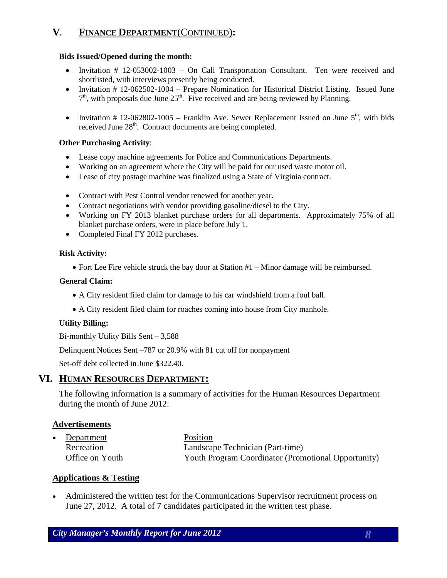# **V. FINANCE DEPARTMENT**(CONTINUED)**:**

#### **Bids Issued/Opened during the month:**

- Invitation # 12-053002-1003 On Call Transportation Consultant. Ten were received and shortlisted, with interviews presently being conducted.
- Invitation # 12-062502-1004 Prepare Nomination for Historical District Listing. Issued June  $7<sup>th</sup>$ , with proposals due June  $25<sup>th</sup>$ . Five received and are being reviewed by Planning.
- Invitation # 12-062802-1005 Franklin Ave. Sewer Replacement Issued on June  $5<sup>th</sup>$ , with bids received June 28<sup>th</sup>. Contract documents are being completed.

### **Other Purchasing Activity**:

- Lease copy machine agreements for Police and Communications Departments.
- Working on an agreement where the City will be paid for our used waste motor oil.
- Lease of city postage machine was finalized using a State of Virginia contract.
- Contract with Pest Control vendor renewed for another year.
- Contract negotiations with vendor providing gasoline/diesel to the City.
- Working on FY 2013 blanket purchase orders for all departments. Approximately 75% of all blanket purchase orders, were in place before July 1.
- Completed Final FY 2012 purchases.

#### **Risk Activity:**

• Fort Lee Fire vehicle struck the bay door at Station #1 – Minor damage will be reimbursed.

# **General Claim:**

- A City resident filed claim for damage to his car windshield from a foul ball.
- A City resident filed claim for roaches coming into house from City manhole.

# **Utility Billing:**

Bi-monthly Utility Bills Sent – 3,588

Delinquent Notices Sent –787 or 20.9% with 81 cut off for nonpayment

Set-off debt collected in June \$322.40.

# **VI. HUMAN RESOURCES DEPARTMENT:**

The following information is a summary of activities for the Human Resources Department during the month of June 2012:

# **Advertisements**

• Department Position Recreation Landscape Technician (Part-time) Office on Youth Youth Program Coordinator (Promotional Opportunity)

# **Applications & Testing**

• Administered the written test for the Communications Supervisor recruitment process on June 27, 2012. A total of 7 candidates participated in the written test phase.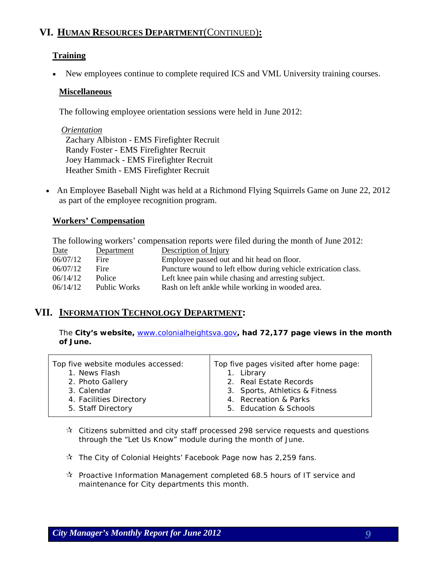# **VI. HUMAN RESOURCES DEPARTMENT**(CONTINUED)**:**

# **Training**

• New employees continue to complete required ICS and VML University training courses.

### **Miscellaneous**

The following employee orientation sessions were held in June 2012:

 *Orientation* Zachary Albiston - EMS Firefighter Recruit Randy Foster - EMS Firefighter Recruit Joey Hammack - EMS Firefighter Recruit Heather Smith - EMS Firefighter Recruit

• An Employee Baseball Night was held at a Richmond Flying Squirrels Game on June 22, 2012 as part of the employee recognition program.

# **Workers' Compensation**

The following workers' compensation reports were filed during the month of June 2012:

| Date     | Department   | Description of Injury                                          |
|----------|--------------|----------------------------------------------------------------|
| 06/07/12 | Fire         | Employee passed out and hit head on floor.                     |
| 06/07/12 | Fire         | Puncture wound to left elbow during vehicle extrication class. |
| 06/14/12 | Police       | Left knee pain while chasing and arresting subject.            |
| 06/14/12 | Public Works | Rash on left ankle while working in wooded area.               |

# **VII. INFORMATION TECHNOLOGY DEPARTMENT:**

The **City's website,** [www.colonialheightsva.gov](http://www.colonialheightsva.gov/)**, had 72,177 page views in the month of June.** 

| Top five website modules accessed:<br>1. News Flash | Top five pages visited after home page:<br>1. Library |
|-----------------------------------------------------|-------------------------------------------------------|
| 2. Photo Gallery                                    | 2. Real Estate Records                                |
| 3. Calendar                                         | 3. Sports, Athletics & Fitness                        |
| 4. Facilities Directory                             | 4. Recreation & Parks                                 |
| 5. Staff Directory                                  | 5. Education & Schools                                |
|                                                     |                                                       |

- $\mathbf{\hat{x}}$  Citizens submitted and city staff processed 298 service requests and questions through the "Let Us Know" module during the month of June.
- $\mathbf{\hat{x}}$  The City of Colonial Heights' Facebook Page now has 2,259 fans.
- $\lambda$  Proactive Information Management completed 68.5 hours of IT service and maintenance for City departments this month.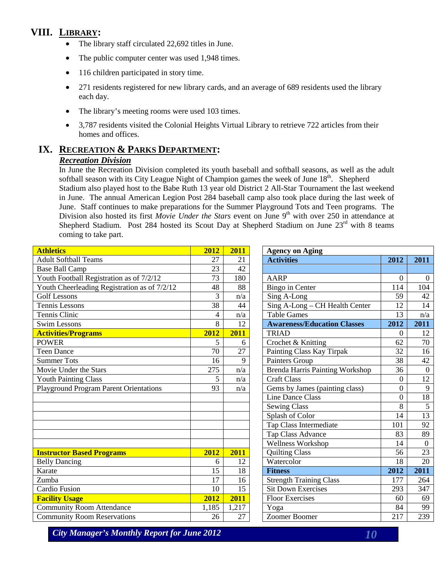# **VIII. LIBRARY:**

- The library staff circulated 22,692 titles in June.
- The public computer center was used 1,948 times.
- 116 children participated in story time.
- 271 residents registered for new library cards, and an average of 689 residents used the library each day.
- The library's meeting rooms were used 103 times.
- 3.787 residents visited the Colonial Heights Virtual Library to retrieve 722 articles from their homes and offices.

# **IX. RECREATION & PARKS DEPARTMENT:** *Recreation Division*

In June the Recreation Division completed its youth baseball and softball seasons, as well as the adult softball season with its City League Night of Champion games the week of June  $18<sup>th</sup>$ . Shepherd Stadium also played host to the Babe Ruth 13 year old District 2 All-Star Tournament the last weekend in June. The annual American Legion Post 284 baseball camp also took place during the last week of June. Staff continues to make preparations for the Summer Playground Tots and Teen programs. The Division also hosted its first *Movie Under the Stars* event on June 9<sup>th</sup> with over 250 in attendance at Shepherd Stadium. Post 284 hosted its Scout Day at Shepherd Stadium on June  $23<sup>rd</sup>$  with 8 teams coming to take part.

| <b>Athletics</b>                              | 2012  | 2011            | <b>Agency on Aging</b>                 |          |                  |
|-----------------------------------------------|-------|-----------------|----------------------------------------|----------|------------------|
| <b>Adult Softball Teams</b>                   | 27    | 21              | <b>Activities</b>                      | 2012     | 2011             |
| <b>Base Ball Camp</b>                         | 23    | 42              |                                        |          |                  |
| Youth Football Registration as of 7/2/12      | 73    | 180             | <b>AARP</b>                            | $\Omega$ | $\boldsymbol{0}$ |
| Youth Cheerleading Registration as of 7/2/12  | 48    | 88              | <b>Bingo in Center</b>                 | 114      | 104              |
| <b>Golf Lessons</b>                           | 3     | n/a             | Sing A-Long                            | 59       | 42               |
| <b>Tennis Lessons</b>                         | 38    | 44              | Sing A-Long - CH Health Center         | 12       | 14               |
| Tennis Clinic                                 | 4     | n/a             | <b>Table Games</b>                     | 13       | n/a              |
| <b>Swim Lessons</b>                           | 8     | 12              | <b>Awareness/Education Classes</b>     | 2012     | 2011             |
| <b>Activities/Programs</b>                    | 2012  | 2011            | <b>TRIAD</b>                           | 0        | 12               |
| <b>POWER</b>                                  | 5     | 6               | Crochet & Knitting                     | 62       | 70               |
| <b>Teen Dance</b>                             | 70    | 27              | Painting Class Kay Tirpak              | 32       | 16               |
| <b>Summer Tots</b>                            | 16    | 9               | Painters Group                         | 38       | 42               |
| Movie Under the Stars                         | 275   | n/a             | <b>Brenda Harris Painting Workshop</b> | 36       | $\overline{0}$   |
| <b>Youth Painting Class</b>                   | 5     | n/a             | <b>Craft Class</b>                     | $\theta$ | 12               |
| <b>Playground Program Parent Orientations</b> | 93    | n/a             | Gems by James (painting class)         | 0        | 9                |
|                                               |       |                 | <b>Line Dance Class</b>                | $\theta$ | 18               |
|                                               |       |                 | <b>Sewing Class</b>                    | 8        | 5                |
|                                               |       |                 | Splash of Color                        | 14       | 13               |
|                                               |       |                 | <b>Tap Class Intermediate</b>          | 101      | 92               |
|                                               |       |                 | <b>Tap Class Advance</b>               | 83       | 89               |
|                                               |       |                 | Wellness Workshop                      | 14       | $\boldsymbol{0}$ |
| <b>Instructor Based Programs</b>              | 2012  | 2011            | <b>Quilting Class</b>                  | 56       | 23               |
| <b>Belly Dancing</b>                          | 6     | 12              | Watercolor                             | 18       | 20               |
| Karate                                        | 15    | 18              | <b>Fitness</b>                         | 2012     | 2011             |
| Zumba                                         | 17    | 16              | <b>Strength Training Class</b>         | 177      | 264              |
| Cardio Fusion                                 | 10    | $\overline{15}$ | <b>Sit Down Exercises</b>              | 293      | 347              |
| <b>Facility Usage</b>                         | 2012  | 2011            | <b>Floor Exercises</b>                 | 60       | 69               |
| <b>Community Room Attendance</b>              | 1,185 | 1,217           | Yoga                                   | 84       | 99               |
| <b>Community Room Reservations</b>            | 26    | 27              | <b>Zoomer Boomer</b>                   | 217      | 239              |

| <b>Agency on Aging</b>                 |                  |          |  |  |  |  |
|----------------------------------------|------------------|----------|--|--|--|--|
| <b>Activities</b>                      | 2012             | 2011     |  |  |  |  |
|                                        |                  |          |  |  |  |  |
| AARP                                   | $\theta$         | $\theta$ |  |  |  |  |
| <b>Bingo in Center</b>                 | 114              | 104      |  |  |  |  |
| Sing A-Long                            | 59               | 42       |  |  |  |  |
| Sing A-Long - CH Health Center         | 12               | 14       |  |  |  |  |
| <b>Table Games</b>                     | 13               | n/a      |  |  |  |  |
| <b>Awareness/Education Classes</b>     | 2012             | 2011     |  |  |  |  |
| <b>TRIAD</b>                           | 0                | 12       |  |  |  |  |
| Crochet & Knitting                     | 62               | 70       |  |  |  |  |
| Painting Class Kay Tirpak              | 32               | 16       |  |  |  |  |
| Painters Group                         | 38               | 42       |  |  |  |  |
| <b>Brenda Harris Painting Workshop</b> | 36               | 0        |  |  |  |  |
| <b>Craft Class</b>                     | 0                | 12       |  |  |  |  |
| Gems by James (painting class)         | $\boldsymbol{0}$ | 9        |  |  |  |  |
| <b>Line Dance Class</b>                | $\overline{0}$   | 18       |  |  |  |  |
| <b>Sewing Class</b>                    | 8                | 5        |  |  |  |  |
| Splash of Color                        | 14               | 13       |  |  |  |  |
| Tap Class Intermediate                 | 101              | 92       |  |  |  |  |
| Tap Class Advance                      | 83               | 89       |  |  |  |  |
| Wellness Workshop                      | 14               | $\theta$ |  |  |  |  |
| <b>Quilting Class</b>                  | 56               | 23       |  |  |  |  |
| Watercolor                             | 18               | 20       |  |  |  |  |
| <b>Fitness</b>                         | 2012             | 2011     |  |  |  |  |
| <b>Strength Training Class</b>         | 177              | 264      |  |  |  |  |
| <b>Sit Down Exercises</b>              | 293              | 347      |  |  |  |  |
| <b>Floor Exercises</b>                 | 60               | 69       |  |  |  |  |
| Yoga                                   | 84               | 99       |  |  |  |  |
| Zoomer Boomer                          | 217              | 239      |  |  |  |  |

*City Manager's Monthly Report for June 2012 10*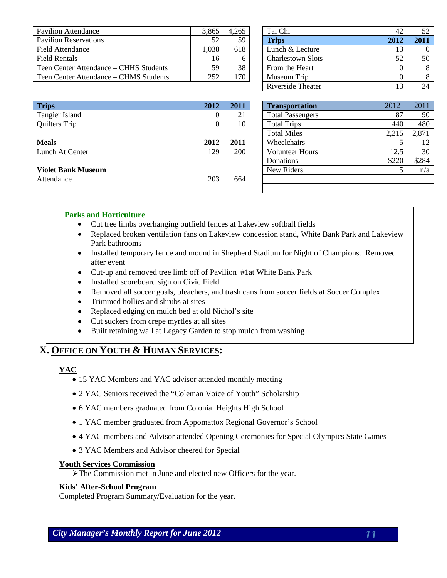| Pavilion Attendance                    | 3.865 | 4.265        | Tai Chi                  | 42   | 52   |
|----------------------------------------|-------|--------------|--------------------------|------|------|
| <b>Pavilion Reservations</b>           | 52    | 59.          | <b>Trips</b>             | 2012 | 2011 |
| Field Attendance                       | .038  | 618          | Lunch & Lecture          |      |      |
| Field Rentals                          | 16    |              | <b>Charlestown Slots</b> | 52   | 50   |
| Teen Center Attendance – CHHS Students | 59    | 38           | From the Heart           |      | 8    |
| Teen Center Attendance – CHMS Students | 252   | $70^{\circ}$ | Museum Trip              |      | 8    |

| Tai Chi                  | 42   | 52   |
|--------------------------|------|------|
| <b>Trips</b>             | 2012 | 2011 |
| Lunch & Lecture          | 13   |      |
| <b>Charlestown Slots</b> | 52   | 50   |
| From the Heart           |      |      |
| Museum Trip              |      |      |
| Riverside Theater        | 13   |      |

| <b>Trips</b>              | 2012 | 2011       | <b>Transportation</b>   | 2012  | 2011  |
|---------------------------|------|------------|-------------------------|-------|-------|
| Tangier Island            | 0    | 21         | <b>Total Passengers</b> | 87    | 90    |
| Quilters Trip             | 0    | 10         | <b>Total Trips</b>      | 440   | 480   |
|                           |      |            | <b>Total Miles</b>      | 2,215 | 2,871 |
| <b>Meals</b>              | 2012 | 2011       | Wheelchairs             |       | 12    |
| Lunch At Center           | 129  | <b>200</b> | <b>Volunteer Hours</b>  | 12.5  | 30    |
|                           |      |            | Donations               | \$220 | \$284 |
| <b>Violet Bank Museum</b> |      |            | New Riders              |       | n/a   |
| Attendance                | 203  | 664        |                         |       |       |
|                           |      |            |                         |       |       |

| <b>Transportation</b>   | 2012  | 2011  |
|-------------------------|-------|-------|
| <b>Total Passengers</b> | 87    | 90    |
| <b>Total Trips</b>      | 440   | 480   |
| <b>Total Miles</b>      | 2,215 | 2,871 |
| Wheelchairs             |       | 12    |
| <b>Volunteer Hours</b>  | 12.5  | 30    |
| Donations               | \$220 | \$284 |
| New Riders              |       | n/a   |
|                         |       |       |
|                         |       |       |

#### **Parks and Horticulture**

- Cut tree limbs overhanging outfield fences at Lakeview softball fields
- Replaced broken ventilation fans on Lakeview concession stand, White Bank Park and Lakeview Park bathrooms
- Installed temporary fence and mound in Shepherd Stadium for Night of Champions. Removed after event
- Cut-up and removed tree limb off of Pavilion #1at White Bank Park
- Installed scoreboard sign on Civic Field
- Removed all soccer goals, bleachers, and trash cans from soccer fields at Soccer Complex
- Trimmed hollies and shrubs at sites
- Replaced edging on mulch bed at old Nichol's site
- Cut suckers from crepe myrtles at all sites
- Built retaining wall at Legacy Garden to stop mulch from washing

#### **X. OFFICE ON YOUTH & HUMAN SERVICES:**

#### **YAC**

- 15 YAC Members and YAC advisor attended monthly meeting
- 2 YAC Seniors received the "Coleman Voice of Youth" Scholarship
- 6 YAC members graduated from Colonial Heights High School
- 1 YAC member graduated from Appomattox Regional Governor's School
- 4 YAC members and Advisor attended Opening Ceremonies for Special Olympics State Games
- 3 YAC Members and Advisor cheered for Special

#### **Youth Services Commission**

The Commission met in June and elected new Officers for the year.

#### **Kids' After-School Program**

Completed Program Summary/Evaluation for the year.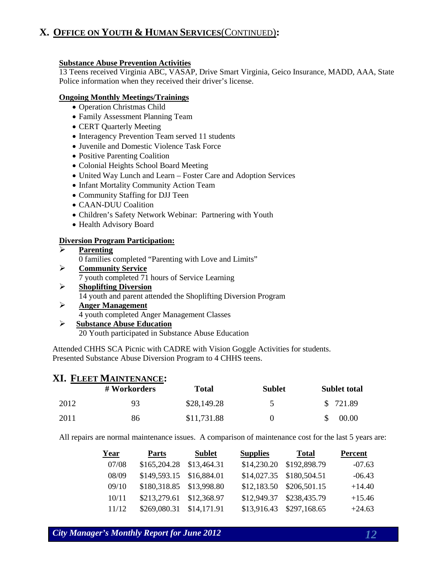# **X. OFFICE ON YOUTH & HUMAN SERVICES**(CONTINUED)**:**

#### **Substance Abuse Prevention Activities**

13 Teens received Virginia ABC, VASAP, Drive Smart Virginia, Geico Insurance, MADD, AAA, State Police information when they received their driver's license.

#### **Ongoing Monthly Meetings/Trainings**

- Operation Christmas Child
- Family Assessment Planning Team
- CERT Quarterly Meeting
- Interagency Prevention Team served 11 students
- Juvenile and Domestic Violence Task Force
- Positive Parenting Coalition
- Colonial Heights School Board Meeting
- United Way Lunch and Learn Foster Care and Adoption Services
- Infant Mortality Community Action Team
- Community Staffing for DJJ Teen
- CAAN-DUU Coalition
- Children's Safety Network Webinar: Partnering with Youth
- Health Advisory Board

#### **Diversion Program Participation:**

|                  | <b>Parenting</b>                                      |
|------------------|-------------------------------------------------------|
|                  | 0 families completed "Parenting with Love and Limits" |
| $\triangleright$ | <b>Community Service</b>                              |
|                  | 7 youth completed 71 hours of Service Learning        |
|                  | <b>Shoplifting Diversion</b>                          |

- 14 youth and parent attended the Shoplifting Diversion Program
- **Anger Management** 4 youth completed Anger Management Classes
- **Substance Abuse Education** 20 Youth participated in Substance Abuse Education

Attended CHHS SCA Picnic with CADRE with Vision Goggle Activities for students. Presented Substance Abuse Diversion Program to 4 CHHS teens.

# **XI. FLEET MAINTENANCE:**

|      | # Workorders | Total       | <b>Sublet</b> | <b>Sublet total</b> |
|------|--------------|-------------|---------------|---------------------|
| 2012 | 93           | \$28,149.28 | 5             | \$ 721.89           |
| 2011 | 86           | \$11,731.88 |               | 00.00               |

All repairs are normal maintenance issues. A comparison of maintenance cost for the last 5 years are:

| Year  | <b>Parts</b>             | <b>Sublet</b> | <b>Supplies</b> | <b>Total</b>             | Percent  |
|-------|--------------------------|---------------|-----------------|--------------------------|----------|
| 07/08 | \$165,204.28 \$13,464.31 |               | \$14,230.20     | \$192,898.79             | $-07.63$ |
| 08/09 | \$149,593.15 \$16,884.01 |               |                 | \$14,027.35 \$180,504.51 | $-06.43$ |
| 09/10 | \$180,318.85 \$13,998.80 |               |                 | \$12,183.50 \$206,501.15 | $+14.40$ |
| 10/11 | \$213,279.61             | \$12,368.97   | \$12,949.37     | \$238,435.79             | $+15.46$ |
| 11/12 | \$269,080.31             | \$14,171.91   | \$13,916.43     | \$297,168.65             | $+24.63$ |